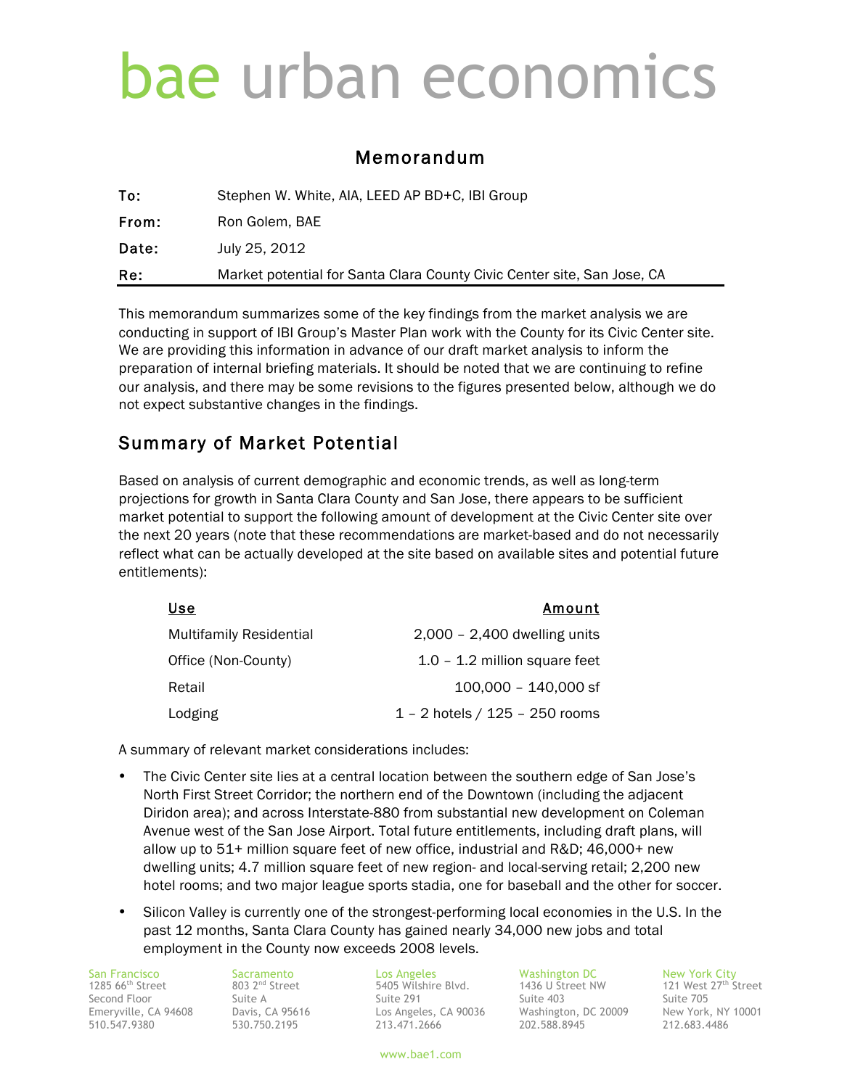# bae urban economics

### Memorandum

| Re:   | Market potential for Santa Clara County Civic Center site, San Jose, CA |
|-------|-------------------------------------------------------------------------|
| Date: | July 25, 2012                                                           |
| From: | Ron Golem, BAE                                                          |
| To:   | Stephen W. White, AIA, LEED AP BD+C, IBI Group                          |

This memorandum summarizes some of the key findings from the market analysis we are conducting in support of IBI Group's Master Plan work with the County for its Civic Center site. We are providing this information in advance of our draft market analysis to inform the preparation of internal briefing materials. It should be noted that we are continuing to refine our analysis, and there may be some revisions to the figures presented below, although we do not expect substantive changes in the findings.

### Summary of Market Potential

Based on analysis of current demographic and economic trends, as well as long-term projections for growth in Santa Clara County and San Jose, there appears to be sufficient market potential to support the following amount of development at the Civic Center site over the next 20 years (note that these recommendations are market-based and do not necessarily reflect what can be actually developed at the site based on available sites and potential future entitlements):

| Use                            | Amount                             |
|--------------------------------|------------------------------------|
| <b>Multifamily Residential</b> | $2,000 - 2,400$ dwelling units     |
| Office (Non-County)            | $1.0 - 1.2$ million square feet    |
| Retail                         | 100,000 - 140,000 sf               |
| Lodging                        | $1 - 2$ hotels / $125 - 250$ rooms |

A summary of relevant market considerations includes:

- The Civic Center site lies at a central location between the southern edge of San Jose's North First Street Corridor; the northern end of the Downtown (including the adjacent Diridon area); and across Interstate-880 from substantial new development on Coleman Avenue west of the San Jose Airport. Total future entitlements, including draft plans, will allow up to 51+ million square feet of new office, industrial and R&D; 46,000+ new dwelling units; 4.7 million square feet of new region- and local-serving retail; 2,200 new hotel rooms; and two major league sports stadia, one for baseball and the other for soccer.
- Silicon Valley is currently one of the strongest-performing local economies in the U.S. In the past 12 months, Santa Clara County has gained nearly 34,000 new jobs and total employment in the County now exceeds 2008 levels.

510.547.9380 530.750.2195 213.471.2666 202.588.8945 212.683.4486

1285 66th Street 803 2nd Street 5405 Wilshire Blvd. 1436 U Street NW 121 West 27th Street Second Floor Suite A Suite 291 Suite 403 Suite 705 Emeryville, CA 94608 Davis, CA 95616 Los Angeles, CA 90036 Washington, DC 20009 New York, NY 10001

San Francisco Sacramento Los Angeles Washington DC New York City<br>1285 66<sup>th</sup> Street 803 2<sup>nd</sup> Street 5405 Wilshire Blvd. 1436 U Street NW 121 West 27<sup>th</sup> Street

www.bae1.com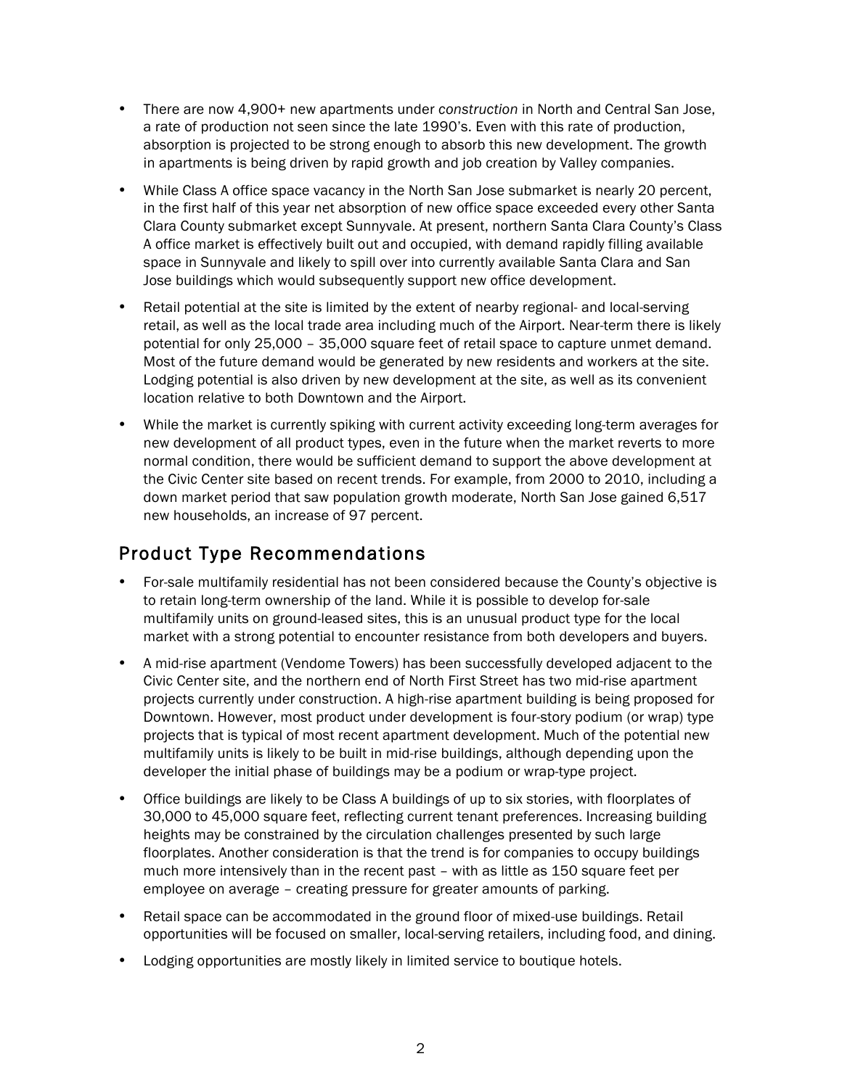- There are now 4,900+ new apartments under *construction* in North and Central San Jose, a rate of production not seen since the late 1990's. Even with this rate of production, absorption is projected to be strong enough to absorb this new development. The growth in apartments is being driven by rapid growth and job creation by Valley companies.
- While Class A office space vacancy in the North San Jose submarket is nearly 20 percent, in the first half of this year net absorption of new office space exceeded every other Santa Clara County submarket except Sunnyvale. At present, northern Santa Clara County's Class A office market is effectively built out and occupied, with demand rapidly filling available space in Sunnyvale and likely to spill over into currently available Santa Clara and San Jose buildings which would subsequently support new office development.
- Retail potential at the site is limited by the extent of nearby regional- and local-serving retail, as well as the local trade area including much of the Airport. Near-term there is likely potential for only 25,000 – 35,000 square feet of retail space to capture unmet demand. Most of the future demand would be generated by new residents and workers at the site. Lodging potential is also driven by new development at the site, as well as its convenient location relative to both Downtown and the Airport.
- While the market is currently spiking with current activity exceeding long-term averages for new development of all product types, even in the future when the market reverts to more normal condition, there would be sufficient demand to support the above development at the Civic Center site based on recent trends. For example, from 2000 to 2010, including a down market period that saw population growth moderate, North San Jose gained 6,517 new households, an increase of 97 percent.

# Product Type Recommendations

- For-sale multifamily residential has not been considered because the County's objective is to retain long-term ownership of the land. While it is possible to develop for-sale multifamily units on ground-leased sites, this is an unusual product type for the local market with a strong potential to encounter resistance from both developers and buyers.
- A mid-rise apartment (Vendome Towers) has been successfully developed adjacent to the Civic Center site, and the northern end of North First Street has two mid-rise apartment projects currently under construction. A high-rise apartment building is being proposed for Downtown. However, most product under development is four-story podium (or wrap) type projects that is typical of most recent apartment development. Much of the potential new multifamily units is likely to be built in mid-rise buildings, although depending upon the developer the initial phase of buildings may be a podium or wrap-type project.
- Office buildings are likely to be Class A buildings of up to six stories, with floorplates of 30,000 to 45,000 square feet, reflecting current tenant preferences. Increasing building heights may be constrained by the circulation challenges presented by such large floorplates. Another consideration is that the trend is for companies to occupy buildings much more intensively than in the recent past – with as little as 150 square feet per employee on average – creating pressure for greater amounts of parking.
- Retail space can be accommodated in the ground floor of mixed-use buildings. Retail opportunities will be focused on smaller, local-serving retailers, including food, and dining.
- Lodging opportunities are mostly likely in limited service to boutique hotels.